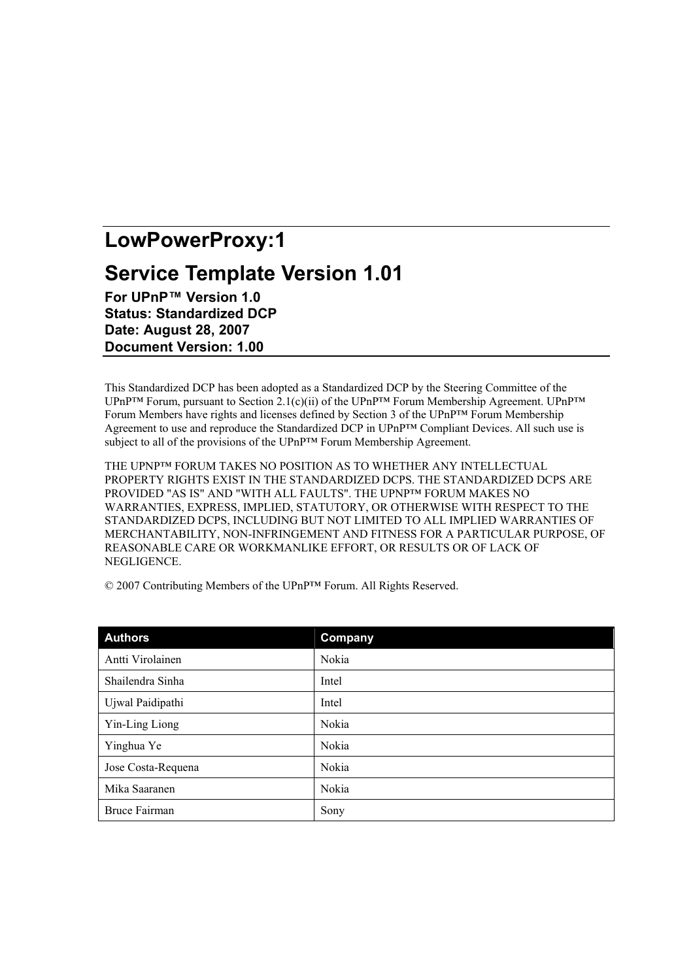# LowPowerProxy:1

## **Service Template Version 1.01**

For UPnP™ Version 1.0 **Status: Standardized DCP** Date: August 28, 2007 **Document Version: 1.00** 

This Standardized DCP has been adopted as a Standardized DCP by the Steering Committee of the UPnP<sup>TM</sup> Forum, pursuant to Section 2.1(c)(ii) of the UPnP<sup>TM</sup> Forum Membership Agreement. UPnP<sup>TM</sup> Forum Members have rights and licenses defined by Section 3 of the UPnP™ Forum Membership Agreement to use and reproduce the Standardized DCP in UPnP™ Compliant Devices. All such use is subject to all of the provisions of the UPnP<sup>TM</sup> Forum Membership Agreement.

THE UPNPTM FORUM TAKES NO POSITION AS TO WHETHER ANY INTELLECTUAL PROPERTY RIGHTS EXIST IN THE STANDARDIZED DCPS. THE STANDARDIZED DCPS ARE PROVIDED "AS IS" AND "WITH ALL FAULTS". THE UPNP<sup>TM</sup> FORUM MAKES NO WARRANTIES. EXPRESS. IMPLIED. STATUTORY. OR OTHERWISE WITH RESPECT TO THE STANDARDIZED DCPS, INCLUDING BUT NOT LIMITED TO ALL IMPLIED WARRANTIES OF MERCHANTABILITY, NON-INFRINGEMENT AND FITNESS FOR A PARTICULAR PURPOSE, OF REASONABLE CARE OR WORKMANLIKE EFFORT, OR RESULTS OR OF LACK OF NEGLIGENCE.

| <b>Authors</b>       | Company |
|----------------------|---------|
| Antti Virolainen     | Nokia   |
| Shailendra Sinha     | Intel   |
| Ujwal Paidipathi     | Intel   |
| Yin-Ling Liong       | Nokia   |
| Yinghua Ye           | Nokia   |
| Jose Costa-Requena   | Nokia   |
| Mika Saaranen        | Nokia   |
| <b>Bruce Fairman</b> | Sony    |

© 2007 Contributing Members of the UPnP<sup>TM</sup> Forum. All Rights Reserved.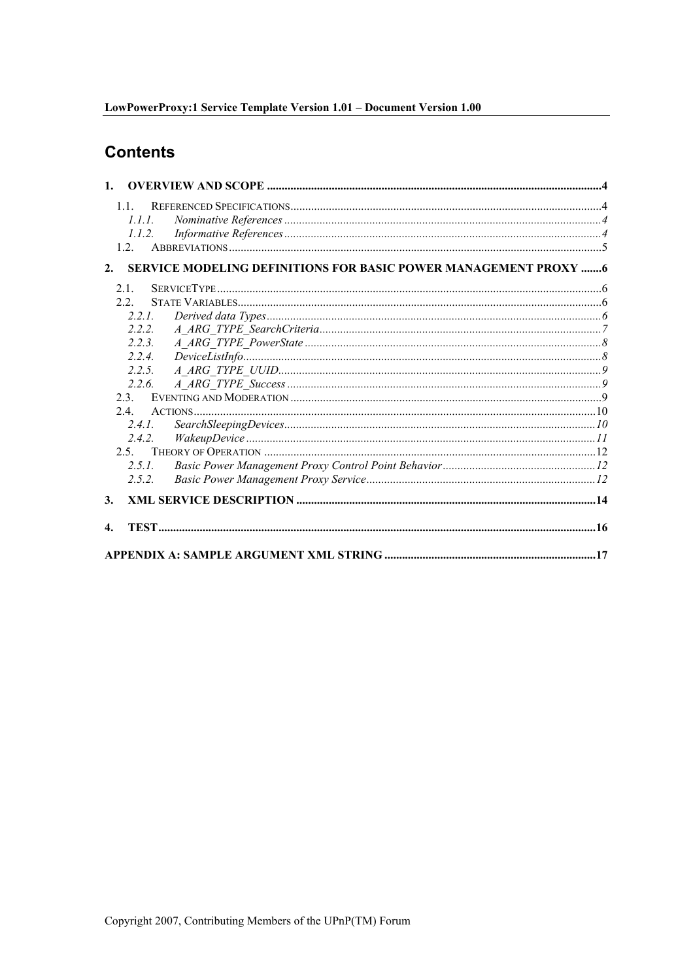## **Contents**

| $\mathbf{1}$ .               |         |                                                                         |  |
|------------------------------|---------|-------------------------------------------------------------------------|--|
|                              | 11      |                                                                         |  |
|                              | 111     |                                                                         |  |
|                              | 1.1.2.  |                                                                         |  |
|                              | 12      |                                                                         |  |
| 2.                           |         | <b>SERVICE MODELING DEFINITIONS FOR BASIC POWER MANAGEMENT PROXY  6</b> |  |
|                              | 2.1     |                                                                         |  |
|                              | 2.2     |                                                                         |  |
|                              | 2.2.1.  |                                                                         |  |
|                              | 222     |                                                                         |  |
|                              | 223     |                                                                         |  |
|                              | 2.2.4   | DeviceListInfo. 8 8                                                     |  |
|                              | 2.2.5.  |                                                                         |  |
|                              | 2.2.6.  |                                                                         |  |
|                              | 23      |                                                                         |  |
|                              | 24      |                                                                         |  |
|                              | 241     |                                                                         |  |
|                              | 2.4.2.  |                                                                         |  |
|                              | $2.5 -$ |                                                                         |  |
|                              | 2.5.1.  |                                                                         |  |
|                              | 2.5.2.  |                                                                         |  |
| <b>3.</b>                    |         |                                                                         |  |
| $\boldsymbol{\mathcal{A}}$ . |         |                                                                         |  |
|                              |         |                                                                         |  |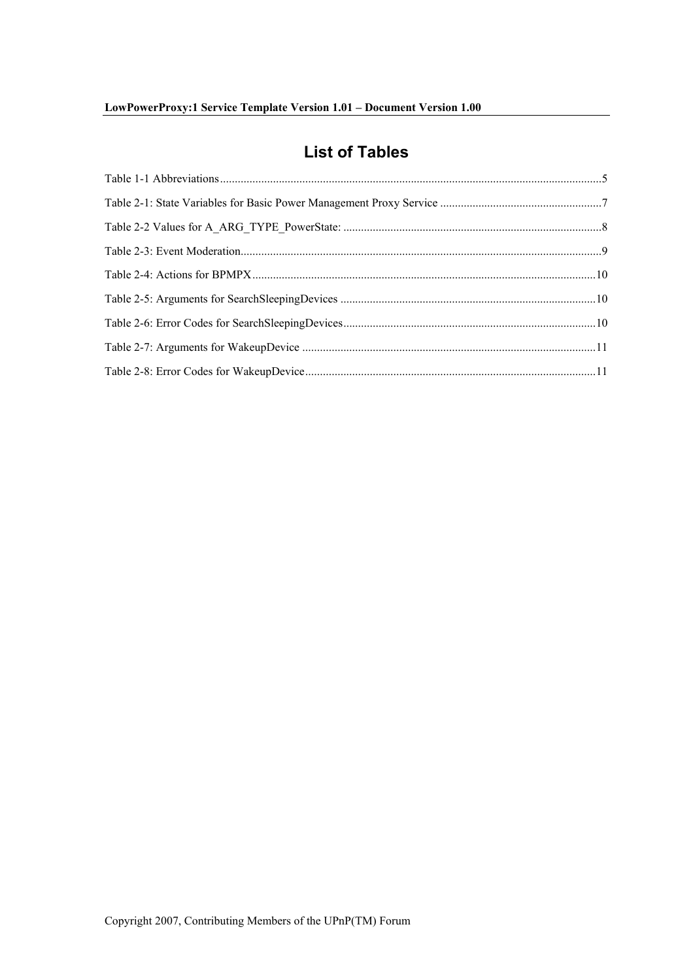## **List of Tables**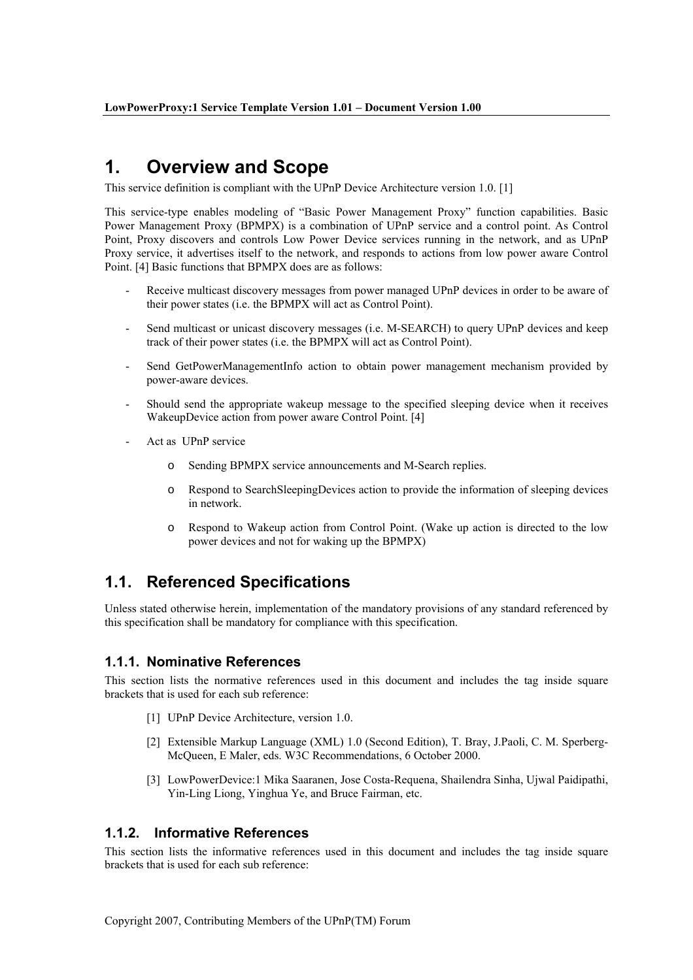#### $\mathbf 1$ **Overview and Scope**

This service definition is compliant with the UPnP Device Architecture version 1.0. [1]

This service-type enables modeling of "Basic Power Management Proxy" function capabilities. Basic Power Management Proxy (BPMPX) is a combination of UPnP service and a control point. As Control Point, Proxy discovers and controls Low Power Device services running in the network, and as UPnP Proxy service, it advertises itself to the network, and responds to actions from low power aware Control Point. [4] Basic functions that BPMPX does are as follows:

- Receive multicast discovery messages from power managed UPnP devices in order to be aware of their power states (i.e. the BPMPX will act as Control Point).
- Send multicast or unicast discovery messages (i.e. M-SEARCH) to query UPnP devices and keep track of their power states (*i.e.* the BPMPX will act as Control Point).
- Send GetPowerManagementInfo action to obtain power management mechanism provided by power-aware devices.
- Should send the appropriate wakeup message to the specified sleeping device when it receives WakeupDevice action from power aware Control Point. [4]
- Act as **UPnP** service
	- $\circ$ Sending BPMPX service announcements and M-Search replies.
	- Respond to SearchSleepingDevices action to provide the information of sleeping devices  $\Omega$ in network.
	- o Respond to Wakeup action from Control Point. (Wake up action is directed to the low power devices and not for waking up the BPMPX)

#### $1.1.$ **Referenced Specifications**

Unless stated otherwise herein, implementation of the mandatory provisions of any standard referenced by this specification shall be mandatory for compliance with this specification.

### 1.1.1. Nominative References

This section lists the normative references used in this document and includes the tag inside square brackets that is used for each sub reference:

- [1] UPnP Device Architecture, version 1.0.
- [2] Extensible Markup Language (XML) 1.0 (Second Edition), T. Bray, J.Paoli, C. M. Sperberg-McQueen, E Maler, eds. W3C Recommendations, 6 October 2000.
- [3] LowPowerDevice:1 Mika Saaranen, Jose Costa-Requena, Shailendra Sinha, Ujwal Paidipathi, Yin-Ling Liong, Yinghua Ye, and Bruce Fairman, etc.

#### $1.1.2.$ **Informative References**

This section lists the informative references used in this document and includes the tag inside square brackets that is used for each sub reference: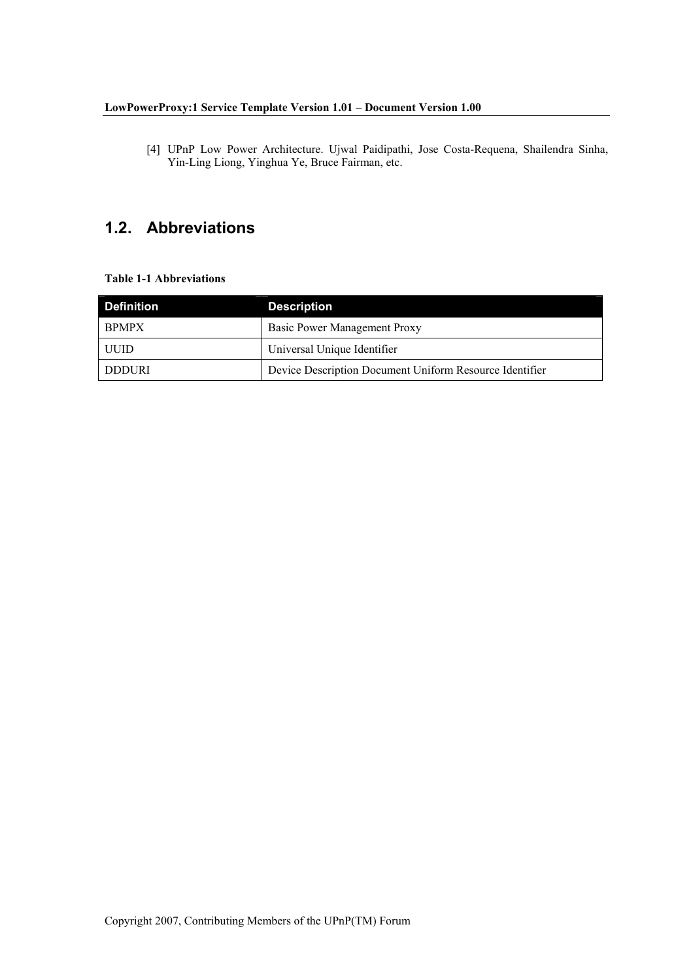[4] UPnP Low Power Architecture. Ujwal Paidipathi, Jose Costa-Requena, Shailendra Sinha, Yin-Ling Liong, Yinghua Ye, Bruce Fairman, etc.

## 1.2. Abbreviations

### **Table 1-1 Abbreviations**

| <b>Definition</b> | <b>Description</b>                                      |  |
|-------------------|---------------------------------------------------------|--|
| <b>BPMPX</b>      | Basic Power Management Proxy                            |  |
| UUID              | Universal Unique Identifier                             |  |
| DDDURI            | Device Description Document Uniform Resource Identifier |  |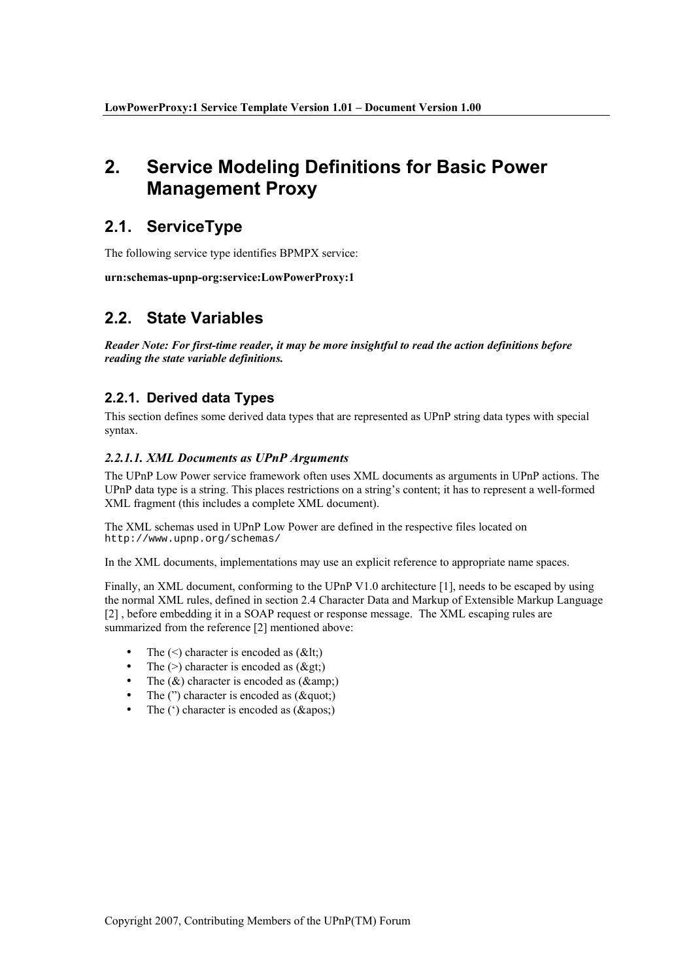### $2.$ **Service Modeling Definitions for Basic Power Management Proxy**

### 2.1. ServiceType

The following service type identifies BPMPX service:

urn:schemas-upnp-org:service:LowPowerProxy:1

### 2.2. State Variables

Reader Note: For first-time reader, it may be more insightful to read the action definitions before reading the state variable definitions.

### 2.2.1. Derived data Types

This section defines some derived data types that are represented as UPnP string data types with special syntax.

### 2.2.1.1. XML Documents as UPnP Arguments

The UPnP Low Power service framework often uses XML documents as arguments in UPnP actions. The UPnP data type is a string. This places restrictions on a string's content; it has to represent a well-formed XML fragment (this includes a complete XML document).

The XML schemas used in UPnP Low Power are defined in the respective files located on http://www.upnp.org/schemas/

In the XML documents, implementations may use an explicit reference to appropriate name spaces.

Finally, an XML document, conforming to the UPnP V1.0 architecture [1], needs to be escaped by using the normal XML rules, defined in section 2.4 Character Data and Markup of Extensible Markup Language [2], before embedding it in a SOAP request or response message. The XML escaping rules are summarized from the reference [2] mentioned above:

- The  $(\leq)$  character is encoded as  $(\< t)$ ;
- The  $(>)$  character is encoded as  $(\&$ gt;)
- The  $(\&)$  character is encoded as  $(\&$ ;  $\bullet$
- The  $('')$  character is encoded as  $(\&$ auot:)
- The  $(')$  character is encoded as  $(\&$ apos;)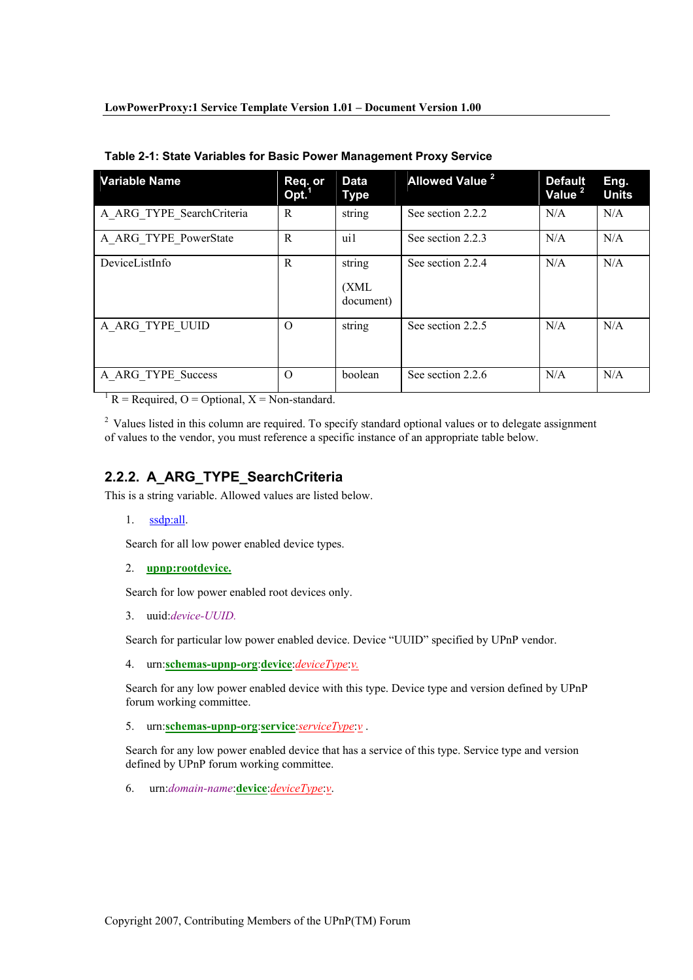| <b>Variable Name</b>      | Req. or<br>Opt. <sup>1</sup> | Data<br><b>Type</b>          | <b>Allowed Value<sup>2</sup></b> | <b>Default</b><br>Value <sup>2</sup> | Eng.<br><b>Units</b> |
|---------------------------|------------------------------|------------------------------|----------------------------------|--------------------------------------|----------------------|
| A ARG TYPE SearchCriteria | R                            | string                       | See section 2.2.2                | N/A                                  | N/A                  |
| A ARG TYPE PowerState     | R                            | ui1                          | See section 2.2.3                | N/A                                  | N/A                  |
| DeviceListInfo            | R                            | string<br>(XML)<br>document) | See section 2.2.4                | N/A                                  | N/A                  |
| A ARG TYPE UUID           | $\Omega$                     | string                       | See section 2.2.5                | N/A                                  | N/A                  |
| A ARG TYPE Success        | O                            | boolean                      | See section 2.2.6                | N/A                                  | N/A                  |

Table 2-1: State Variables for Basic Power Management Proxy Service

<sup>1</sup> R = Required, O = Optional, X = Non-standard.

<sup>2</sup> Values listed in this column are required. To specify standard optional values or to delegate assignment of values to the vendor, you must reference a specific instance of an appropriate table below.

### 2.2.2. A ARG TYPE SearchCriteria

This is a string variable. Allowed values are listed below.

 $1.$  ssdp:all.

Search for all low power enabled device types.

2. upnp:rootdevice.

Search for low power enabled root devices only.

3. uuid:device-UUID.

Search for particular low power enabled device. Device "UUID" specified by UPnP vendor.

4. urn:schemas-upnp-org:device:deviceType:v.

Search for any low power enabled device with this type. Device type and version defined by UPnP forum working committee.

5. urn:schemas-upnp-org:service:serviceType:y.

Search for any low power enabled device that has a service of this type. Service type and version defined by UPnP forum working committee.

6. urn: domain-name: device: device Type: v.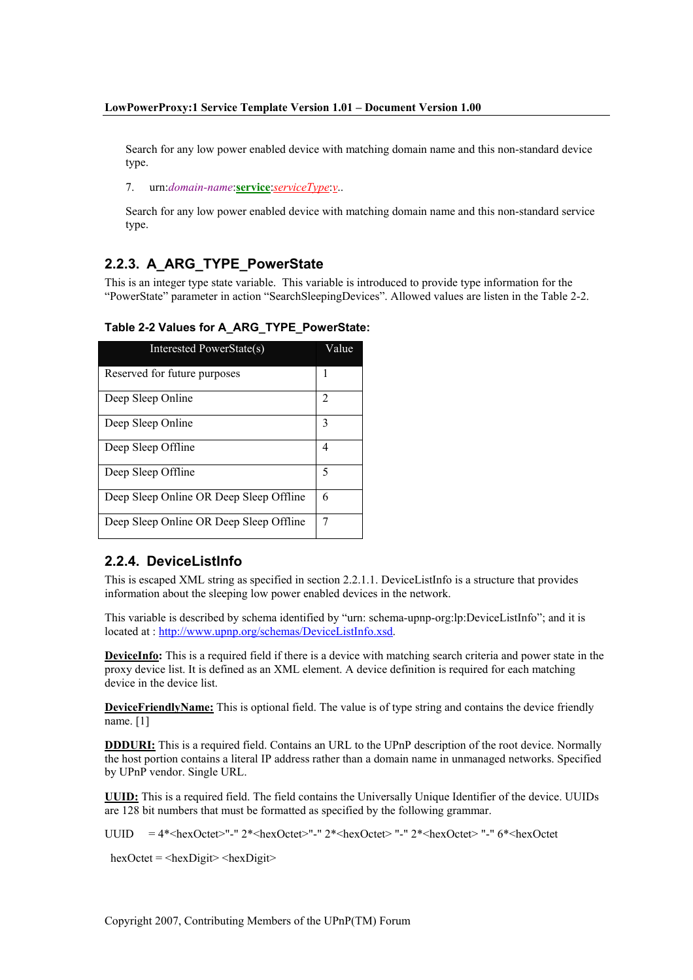Search for any low power enabled device with matching domain name and this non-standard device type.

7. urn: domain-name: service: serviceType: v..

Search for any low power enabled device with matching domain name and this non-standard service type.

### 2.2.3. A ARG TYPE PowerState

This is an integer type state variable. This variable is introduced to provide type information for the "PowerState" parameter in action "SearchSleepingDevices". Allowed values are listen in the Table 2-2.

| Interested PowerState(s)                | Value |
|-----------------------------------------|-------|
| Reserved for future purposes            |       |
| Deep Sleep Online                       | 2     |
| Deep Sleep Online                       | 3     |
| Deep Sleep Offline                      | 4     |
| Deep Sleep Offline                      | 5     |
| Deep Sleep Online OR Deep Sleep Offline | 6     |
| Deep Sleep Online OR Deep Sleep Offline |       |

### Table 2-2 Values for A ARG TYPE PowerState:

### 2.2.4. DeviceListInfo

This is escaped XML string as specified in section 2.2.1.1. DeviceListInfo is a structure that provides information about the sleeping low power enabled devices in the network.

This variable is described by schema identified by "urn: schema-upnp-org:lp:DeviceListInfo"; and it is located at: http://www.upnp.org/schemas/DeviceListInfo.xsd.

**DeviceInfo:** This is a required field if there is a device with matching search criteria and power state in the proxy device list. It is defined as an XML element. A device definition is required for each matching device in the device list.

**DeviceFriendlyName:** This is optional field. The value is of type string and contains the device friendly name. [1]

**DDDURI:** This is a required field. Contains an URL to the UPnP description of the root device. Normally the host portion contains a literal IP address rather than a domain name in unmanaged networks. Specified by UPnP vendor. Single URL.

**UUID:** This is a required field. The field contains the Universally Unique Identifier of the device. UUIDs are 128 bit numbers that must be formatted as specified by the following grammar.

UUID =  $4*$ <hexOctet>"-" 2\*<hexOctet>"-" 2\*<hexOctet> "-" 2\*<hexOctet> "-" 6\*<hexOctet

 $hexOctet =  $\langle hexDigit \rangle \langle hexDigit \rangle$$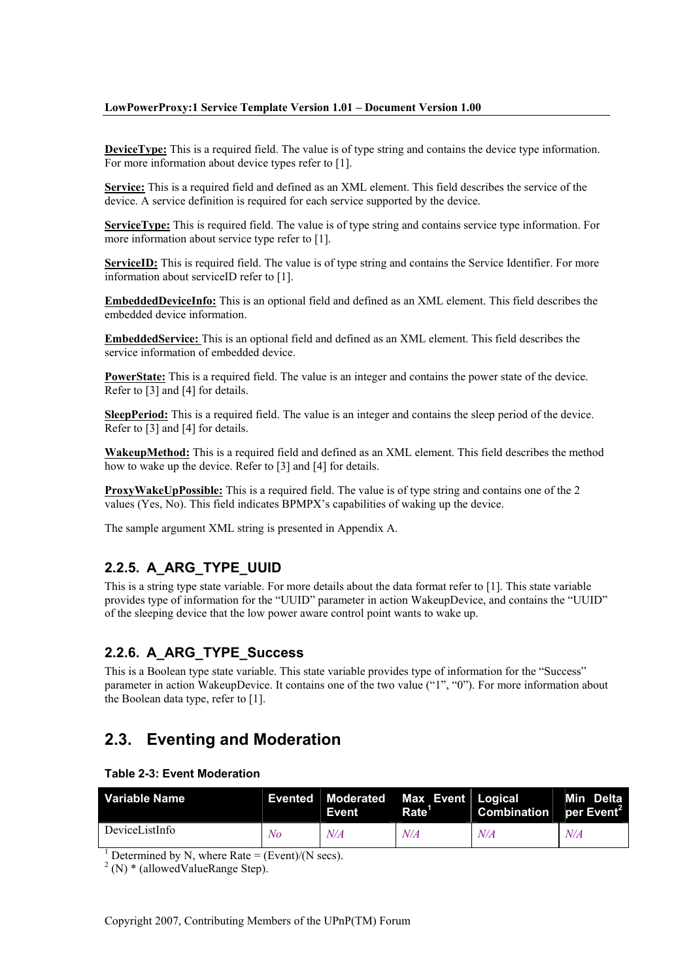**Device Type:** This is a required field. The value is of type string and contains the device type information. For more information about device types refer to [1].

Service: This is a required field and defined as an XML element. This field describes the service of the device. A service definition is required for each service supported by the device.

Service Type: This is required field. The value is of type string and contains service type information. For more information about service type refer to [1].

ServiceID: This is required field. The value is of type string and contains the Service Identifier. For more information about serviceID refer to [1].

**EmbeddedDeviceInfo:** This is an optional field and defined as an XML element. This field describes the embedded device information

**EmbeddedService:** This is an optional field and defined as an XML element. This field describes the service information of embedded device

PowerState: This is a required field. The value is an integer and contains the power state of the device. Refer to  $\boxed{3}$  and  $\boxed{4}$  for details.

**SleepPeriod:** This is a required field. The value is an integer and contains the sleep period of the device. Refer to [3] and [4] for details.

WakeupMethod: This is a required field and defined as an XML element. This field describes the method how to wake up the device. Refer to [3] and [4] for details.

ProxyWakeUpPossible: This is a required field. The value is of type string and contains one of the 2 values (Yes, No). This field indicates BPMPX's capabilities of waking up the device.

The sample argument XML string is presented in Appendix A.

### 2.2.5. A ARG TYPE UUID

This is a string type state variable. For more details about the data format refer to  $[1]$ . This state variable provides type of information for the "UUID" parameter in action WakeupDevice, and contains the "UUID" of the sleeping device that the low power aware control point wants to wake up.

### 2.2.6. A ARG TYPE Success

This is a Boolean type state variable. This state variable provides type of information for the "Success" parameter in action WakeupDevice. It contains one of the two value ("1", "0"). For more information about the Boolean data type, refer to [1].

#### $2.3.$ **Eventing and Moderation**

#### **Table 2-3: Event Moderation**

| Variable Name  |    | <b>Event</b> | Evented Moderated Max Event Logical<br>Rate <sup>'</sup> | Combination per Event <sup>2</sup> | Min Delta |
|----------------|----|--------------|----------------------------------------------------------|------------------------------------|-----------|
| DeviceListInfo | Nο | N/A          | N/A                                                      | N/A                                | N/A       |

<sup>1</sup> Determined by N, where Rate = (Event)/(N secs).

 $2(N)$  \* (allowed Value Range Step).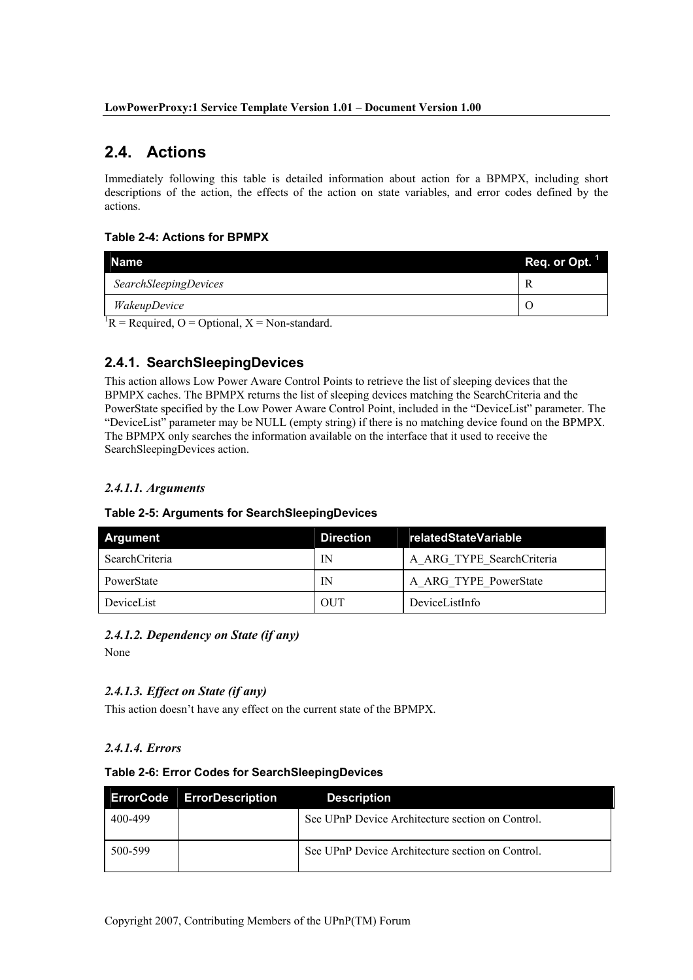### 2.4. Actions

Immediately following this table is detailed information about action for a BPMPX, including short descriptions of the action, the effects of the action on state variables, and error codes defined by the actions

### **Table 2-4: Actions for BPMPX**

| Name                                                  | Req. or Opt. |
|-------------------------------------------------------|--------------|
| <b>SearchSleepingDevices</b>                          |              |
| WakeupDevice                                          |              |
| ${}^{1}R$ = Required, O = Optional, X = Non-standard. |              |

## 2.4.1. SearchSleepingDevices

This action allows Low Power Aware Control Points to retrieve the list of sleeping devices that the BPMPX caches. The BPMPX returns the list of sleeping devices matching the Search Criteria and the PowerState specified by the Low Power Aware Control Point, included in the "DeviceList" parameter. The "DeviceList" parameter may be NULL (empty string) if there is no matching device found on the BPMPX. The BPMPX only searches the information available on the interface that it used to receive the SearchSleepingDevices action.

### 2.4.1.1. Arguments

### Table 2-5: Arguments for SearchSleepingDevices

| Argument       | <b>Direction</b> | relatedStateVariable      |
|----------------|------------------|---------------------------|
| SearchCriteria | IN               | A ARG TYPE SearchCriteria |
| PowerState     | IN               | A ARG TYPE PowerState     |
| DeviceList     | <b>OUT</b>       | DeviceListInfo            |

## 2.4.1.2. Dependency on State (if any)

None

### 2.4.1.3. Effect on State (if any)

This action doesn't have any effect on the current state of the BPMPX.

### 2.4.1.4. Errors

#### Table 2-6: Error Codes for SearchSleepingDevices

|         | <b>ErrorCode</b> ErrorDescription | <b>Description</b>                               |
|---------|-----------------------------------|--------------------------------------------------|
| 400-499 |                                   | See UPnP Device Architecture section on Control. |
| 500-599 |                                   | See UPnP Device Architecture section on Control. |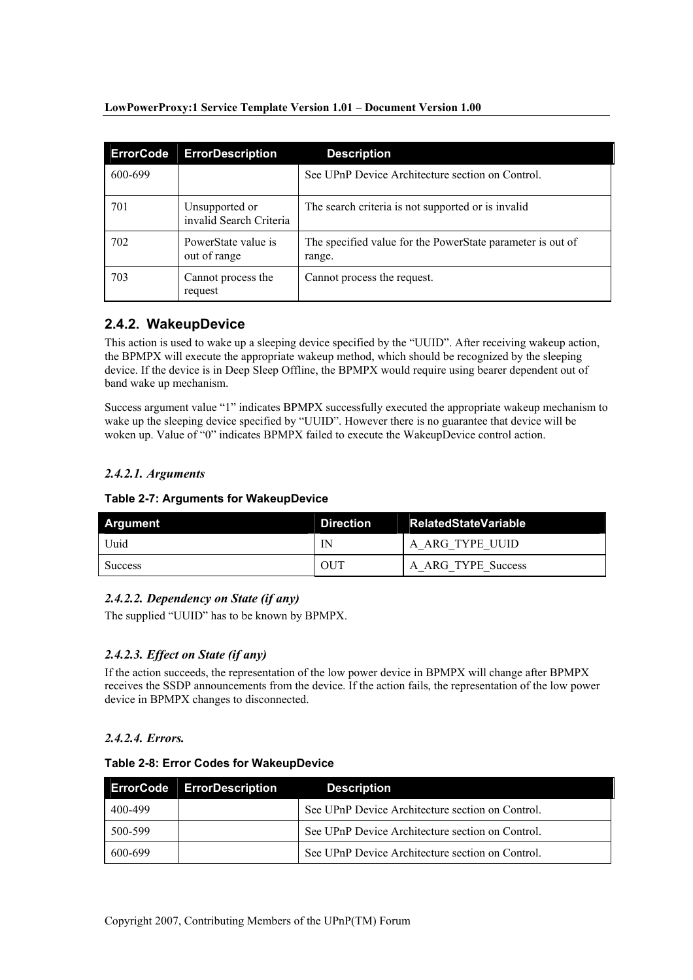| <b>ErrorCode</b> | <b>ErrorDescription</b>                   | <b>Description</b>                                                   |
|------------------|-------------------------------------------|----------------------------------------------------------------------|
| 600-699          |                                           | See UPnP Device Architecture section on Control.                     |
| 701              | Unsupported or<br>invalid Search Criteria | The search criteria is not supported or is invalid                   |
| 702              | PowerState value is<br>out of range       | The specified value for the PowerState parameter is out of<br>range. |
| 703              | Cannot process the<br>request             | Cannot process the request.                                          |

### 2.4.2. WakeupDevice

This action is used to wake up a sleeping device specified by the "UUID". After receiving wakeup action, the BPMPX will execute the appropriate wakeup method, which should be recognized by the sleeping device. If the device is in Deep Sleep Offline, the BPMPX would require using bearer dependent out of band wake up mechanism.

Success argument value "1" indicates BPMPX successfully executed the appropriate wakeup mechanism to wake up the sleeping device specified by "UUID". However there is no guarantee that device will be woken up. Value of "0" indicates BPMPX failed to execute the WakeupDevice control action.

### 2.4.2.1. Arguments

| Argument       | <b>Direction</b> | <b>RelatedStateVariable</b> |
|----------------|------------------|-----------------------------|
| Uuid           | IN               | A ARG TYPE UUID             |
| <b>Success</b> | OUT              | A ARG TYPE Success          |

### 2.4.2.2. Dependency on State (if any)

The supplied "UUID" has to be known by BPMPX.

### 2.4.2.3. Effect on State (if any)

If the action succeeds, the representation of the low power device in BPMPX will change after BPMPX receives the SSDP announcements from the device. If the action fails, the representation of the low power device in BPMPX changes to disconnected.

### 2.4.2.4. Errors.

### Table 2-8: Error Codes for WakeupDevice

|         | <b>ErrorCode ErrorDescription</b> | <b>Description</b>                               |
|---------|-----------------------------------|--------------------------------------------------|
| 400-499 |                                   | See UPnP Device Architecture section on Control. |
| 500-599 |                                   | See UPnP Device Architecture section on Control. |
| 600-699 |                                   | See UPnP Device Architecture section on Control. |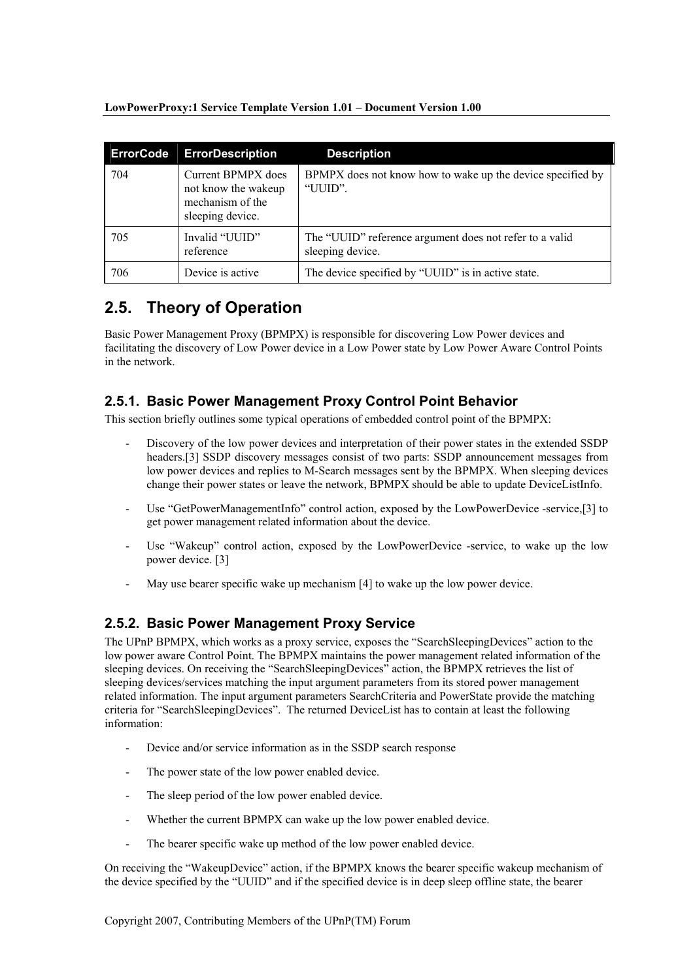| <b>ErrorCode</b> | <b>ErrorDescription</b>                                                           | <b>Description</b>                                                          |
|------------------|-----------------------------------------------------------------------------------|-----------------------------------------------------------------------------|
| 704              | Current BPMPX does<br>not know the wakeup<br>mechanism of the<br>sleeping device. | BPMPX does not know how to wake up the device specified by<br>"UUID".       |
| 705              | Invalid "UUID"<br>reference                                                       | The "UUID" reference argument does not refer to a valid<br>sleeping device. |
| 706              | Device is active.                                                                 | The device specified by "UUID" is in active state.                          |

#### **Theory of Operation**  $2.5.$

Basic Power Management Proxy (BPMPX) is responsible for discovering Low Power devices and facilitating the discovery of Low Power device in a Low Power state by Low Power Aware Control Points in the network

### 2.5.1. Basic Power Management Proxy Control Point Behavior

This section briefly outlines some typical operations of embedded control point of the BPMPX:

- Discovery of the low power devices and interpretation of their power states in the extended SSDP headers.[3] SSDP discovery messages consist of two parts: SSDP announcement messages from low power devices and replies to M-Search messages sent by the BPMPX. When sleeping devices change their power states or leave the network. BPMPX should be able to update DeviceListInfo.
- Use "GetPowerManagementInfo" control action, exposed by the LowPowerDevice -service,[3] to get power management related information about the device.
- Use "Wakeup" control action, exposed by the LowPowerDevice -service, to wake up the low power device. [3]
- May use bearer specific wake up mechanism [4] to wake up the low power device.

### 2.5.2. Basic Power Management Proxy Service

The UPnP BPMPX, which works as a proxy service, exposes the "SearchSleepingDevices" action to the low power aware Control Point. The BPMPX maintains the power management related information of the sleeping devices. On receiving the "Search Sleeping Devices" action, the BPMPX retrieves the list of sleeping devices/services matching the input argument parameters from its stored power management related information. The input argument parameters SearchCriteria and PowerState provide the matching criteria for "SearchSleepingDevices". The returned DeviceList has to contain at least the following information:

- Device and/or service information as in the SSDP search response
- The power state of the low power enabled device.
- The sleep period of the low power enabled device.
- $\overline{a}$ Whether the current BPMPX can wake up the low power enabled device.
- The bearer specific wake up method of the low power enabled device.  $\overline{a}$

On receiving the "WakeupDevice" action, if the BPMPX knows the bearer specific wakeup mechanism of the device specified by the "UUID" and if the specified device is in deep sleep offline state, the bearer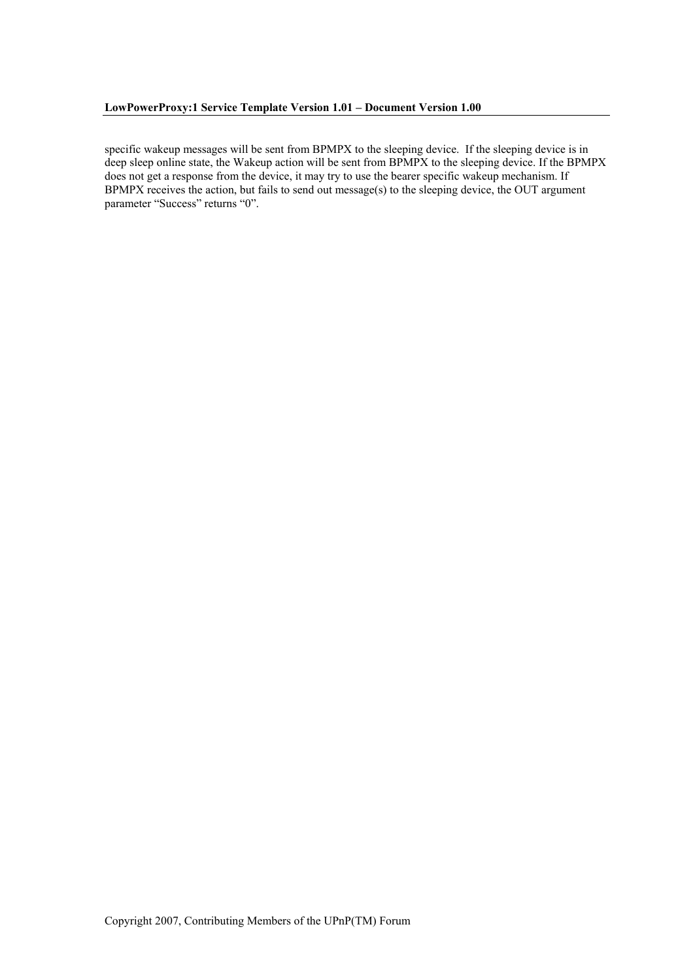specific wakeup messages will be sent from BPMPX to the sleeping device. If the sleeping device is in deep sleep online state, the Wakeup action will be sent from BPMPX to the sleeping device. If the BPMPX does not get a response from the device, it may try to use the bearer specific wakeup mechanism. If BPMPX receives the action, but fails to send out message(s) to the sleeping device, the OUT argument parameter "Success" returns "0".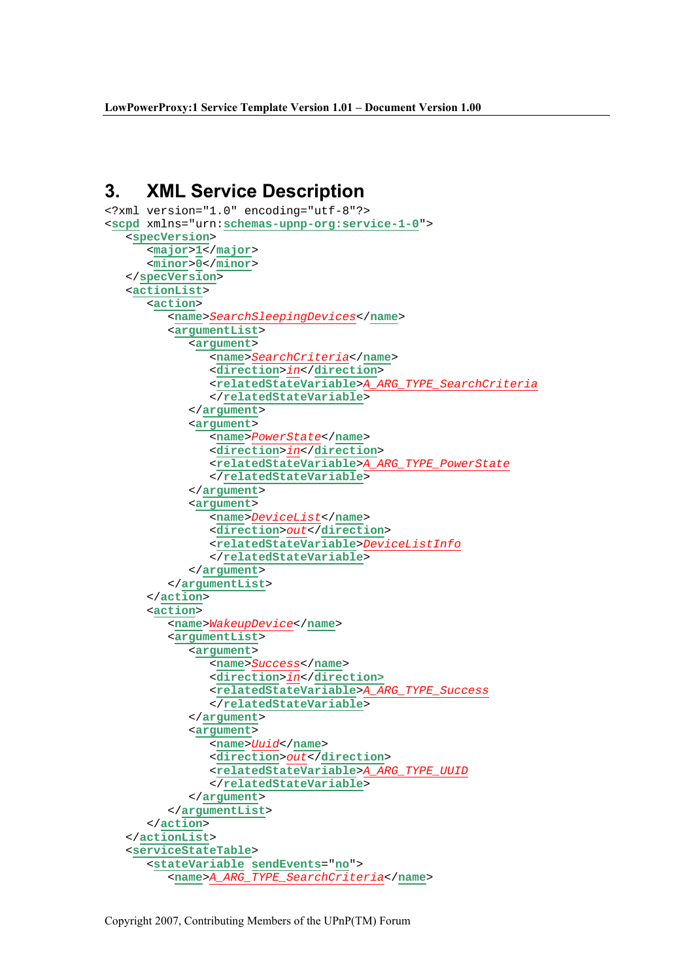## 3. XML Service Description

```
<?xml version="1.0" encoding="utf-8"?> 
<scpd xmlns="urn:schemas-upnp-org:service-1-0"> 
    <specVersion> 
       <major>1</major> 
       <minor>0</minor>
    </specVersion> 
    <actionList> 
       <action> 
           <name>SearchSleepingDevices</name> 
           <argumentList> 
              <argument> 
                 <name>SearchCriteria</name> 
                <direction>in</direction> 
                <relatedStateVariable>A_ARG_TYPE_SearchCriteria
                </relatedStateVariable> 
              </argument> 
              <argument> 
                 <name>PowerState</name> 
                 <direction>in</direction> 
                 <relatedStateVariable>A_ARG_TYPE_PowerState
                 </relatedStateVariable> 
              </argument> 
              <argument> 
                 <name>DeviceList</name> 
                 <direction>out</direction> 
                 <relatedStateVariable>DeviceListInfo
                 </relatedStateVariable> 
              </argument> 
           </argumentList> 
       </action> 
       <action> 
           <name>WakeupDevice</name> 
           <argumentList> 
              <argument> 
                 <name>Success</name> 
                 <direction>in</direction> 
                  <relatedStateVariable>A_ARG_TYPE_Success
                 </relatedStateVariable> 
              </argument> 
              <argument> 
                 <name>Uuid</name> 
                 <direction>out</direction> 
                 <relatedStateVariable>A_ARG_TYPE_UUID
                 </relatedStateVariable> 
              </argument> 
           </argumentList> 
       </action> 
    </actionList> 
    <serviceStateTable> 
       <stateVariable sendEvents="no"> 
           <name>A_ARG_TYPE_SearchCriteria</name>
```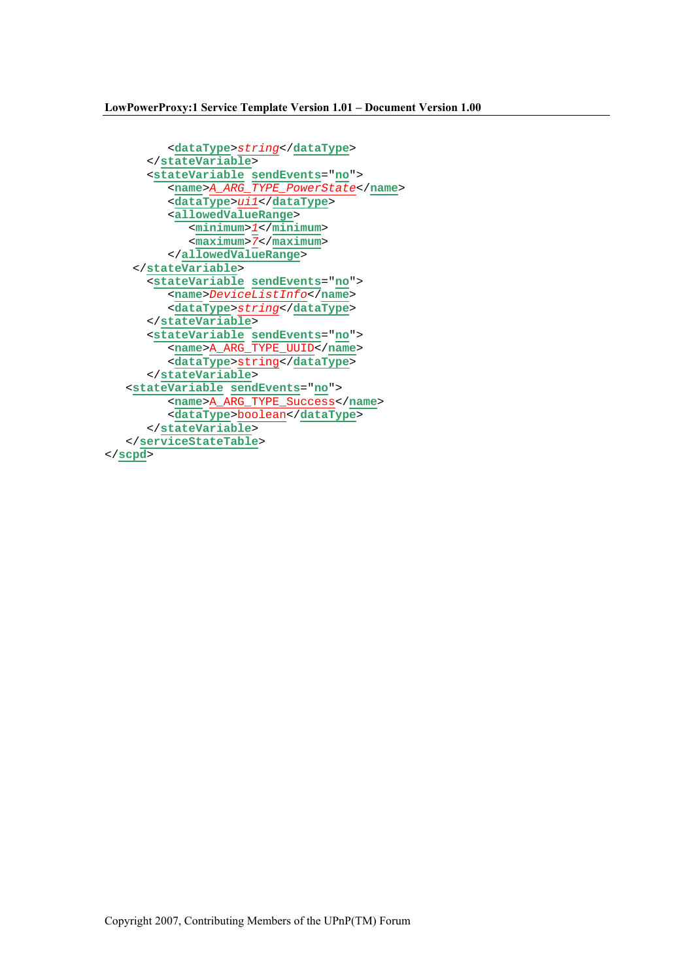```
 <dataType>string</dataType> 
       </stateVariable> 
 <stateVariable sendEvents="no"> 
 <name>A_ARG_TYPE_PowerState</name> 
          <dataType>ui1</dataType> 
          <allowedValueRange> 
              <minimum>1</minimum> 
             <maximum>7</maximum> 
          </allowedValueRange> 
     </stateVariable> 
       <stateVariable sendEvents="no"> 
          <name>DeviceListInfo</name> 
          <dataType>string</dataType> 
       </stateVariable> 
       <stateVariable sendEvents="no"> 
          <name>A_ARG_TYPE_UUID</name> 
          <dataType>string</dataType> 
       </stateVariable> 
    <stateVariable sendEvents="no"> 
          <name>A_ARG_TYPE_Success</name> 
          <dataType>boolean</dataType> 
       </stateVariable> 
    </serviceStateTable> 
</scpd>
```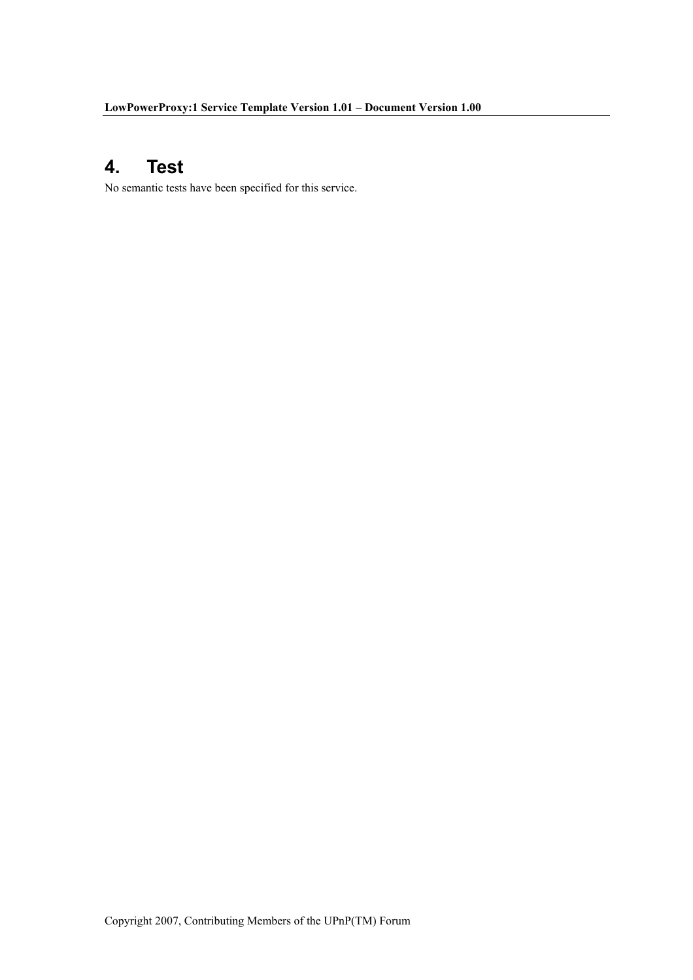#### $\overline{\mathbf{4}}$ . **Test**

No semantic tests have been specified for this service.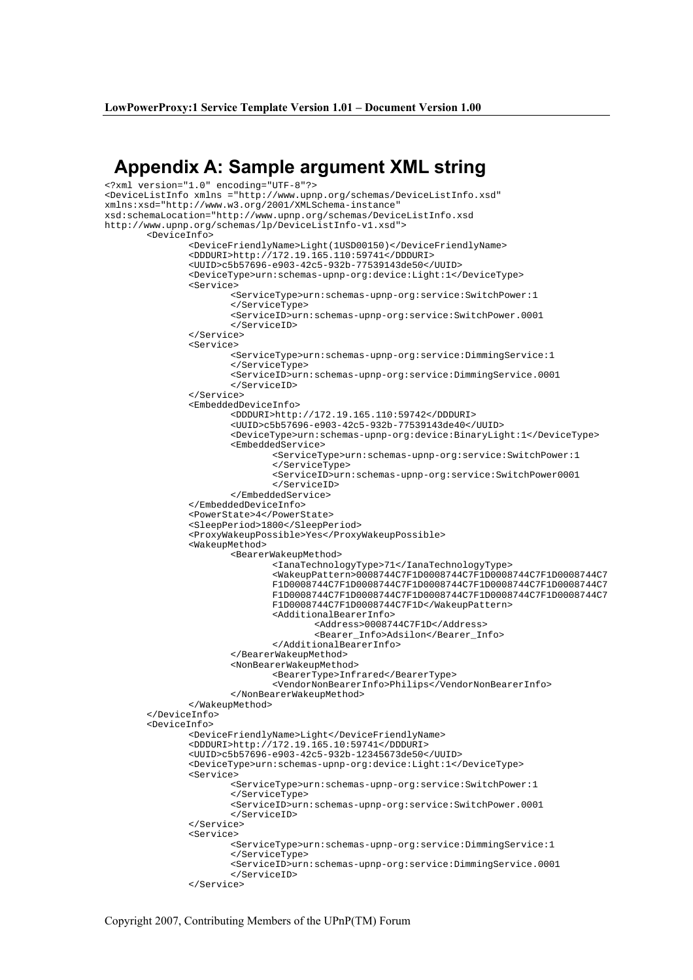## Appendix A: Sample argument XML string

```
<?xml version="1.0" encoding="UTF-8"?> 
<DeviceListInfo xmlns ="http://www.upnp.org/schemas/DeviceListInfo.xsd" 
xmlns:xsd="http://www.w3.org/2001/XMLSchema-instance" 
xsd:schemaLocation="http://www.upnp.org/schemas/DeviceListInfo.xsd 
http://www.upnp.org/schemas/lp/DeviceListInfo-v1.xsd"> 
         <DeviceInfo> 
                 <DeviceFriendlyName>Light(1USD00150)</DeviceFriendlyName> 
                 <DDDURI>http://172.19.165.110:59741</DDDURI> 
                 <UUID>c5b57696-e903-42c5-932b-77539143de50</UUID>
                 <DeviceType>urn:schemas-upnp-org:device:Light:1</DeviceType> 
                 <Service> 
                        <ServiceType>urn:schemas-upnp-org:service:SwitchPower:1 
                        </ServiceType> 
                         <ServiceID>urn:schemas-upnp-org:service:SwitchPower.0001 
                        </ServiceID> 
                 </Service> 
                 <Service> 
                         <ServiceType>urn:schemas-upnp-org:service:DimmingService:1 
                        </ServiceType> 
                         <ServiceID>urn:schemas-upnp-org:service:DimmingService.0001 
                        </ServiceID> 
                 </Service> 
                 <EmbeddedDeviceInfo> 
                         <DDDURI>http://172.19.165.110:59742</DDDURI> 
                         <UUID>c5b57696-e903-42c5-932b-77539143de40</UUID> 
                         <DeviceType>urn:schemas-upnp-org:device:BinaryLight:1</DeviceType> 
                         <EmbeddedService> 
                                 <ServiceType>urn:schemas-upnp-org:service:SwitchPower:1 
                                </ServiceType> 
                                 <ServiceID>urn:schemas-upnp-org:service:SwitchPower0001 
                                </ServiceID> 
                         </EmbeddedService> 
                 </EmbeddedDeviceInfo> 
                 <PowerState>4</PowerState> 
                 <SleepPeriod>1800</SleepPeriod> 
                 <ProxyWakeupPossible>Yes</ProxyWakeupPossible> 
                 <WakeupMethod> 
                        <BearerWakeupMethod> 
                                <IanaTechnologyType>71</IanaTechnologyType> 
                                <WakeupPattern>0008744C7F1D0008744C7F1D0008744C7F1D0008744C7
                                F1D0008744C7F1D0008744C7F1D0008744C7F1D0008744C7F1D0008744C7
                                F1D0008744C7F1D0008744C7F1D0008744C7F1D0008744C7F1D0008744C7
                                F1D0008744C7F1D0008744C7F1D</WakeupPattern> 
                                 <AdditionalBearerInfo> 
                                         <Address>0008744C7F1D</Address> 
                                         <Bearer_Info>Adsilon</Bearer_Info> 
                                 </AdditionalBearerInfo> 
                         </BearerWakeupMethod> 
                         <NonBearerWakeupMethod> 
                                 <BearerType>Infrared</BearerType> 
                                 <VendorNonBearerInfo>Philips</VendorNonBearerInfo> 
                         </NonBearerWakeupMethod> 
                </WakeupMethod> 
         </DeviceInfo> 
         <DeviceInfo> 
                 <DeviceFriendlyName>Light</DeviceFriendlyName> 
                 <DDDURI>http://172.19.165.10:59741</DDDURI> 
                 <UUID>c5b57696-e903-42c5-932b-12345673de50</UUID>
                 <DeviceType>urn:schemas-upnp-org:device:Light:1</DeviceType> 
                 <Service> 
                         <ServiceType>urn:schemas-upnp-org:service:SwitchPower:1 
                        </ServiceType> 
                         <ServiceID>urn:schemas-upnp-org:service:SwitchPower.0001 
                        </ServiceID> 
                 </Service> 
                 <Service> 
                         <ServiceType>urn:schemas-upnp-org:service:DimmingService:1 
                        </ServiceType> 
                         <ServiceID>urn:schemas-upnp-org:service:DimmingService.0001 
                        </ServiceID> 
                 </Service>
```